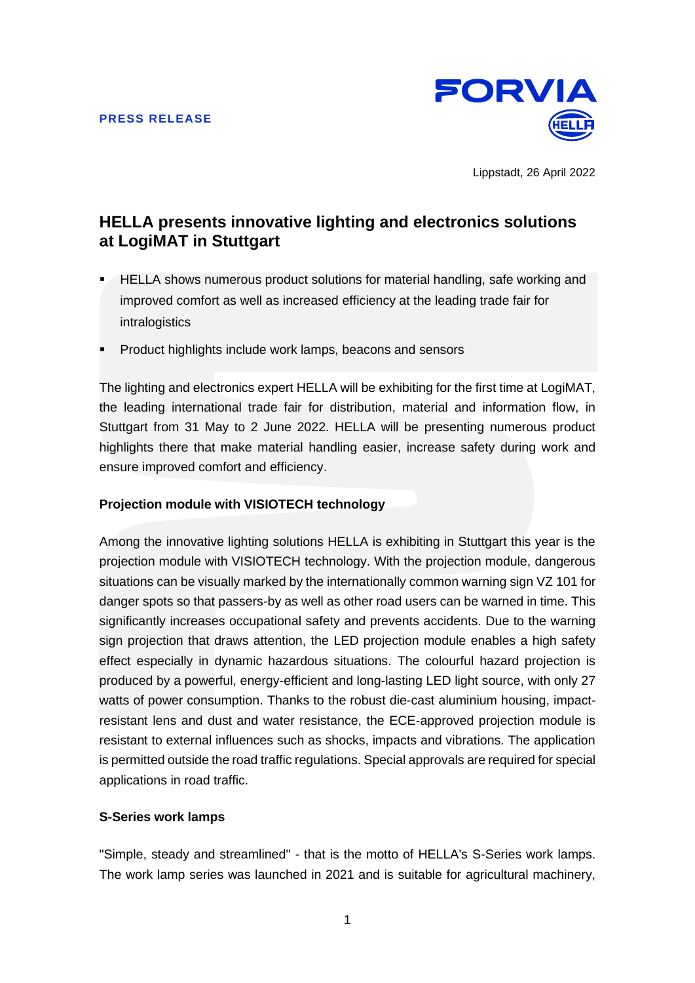

Lippstadt, 26 April 2022

# **HELLA presents innovative lighting and electronics solutions at LogiMAT in Stuttgart**

- HELLA shows numerous product solutions for material handling, safe working and improved comfort as well as increased efficiency at the leading trade fair for intralogistics
- Product highlights include work lamps, beacons and sensors

The lighting and electronics expert HELLA will be exhibiting for the first time at LogiMAT, the leading international trade fair for distribution, material and information flow, in Stuttgart from 31 May to 2 June 2022. HELLA will be presenting numerous product highlights there that make material handling easier, increase safety during work and ensure improved comfort and efficiency.

## **Projection module with VISIOTECH technology**

Among the innovative lighting solutions HELLA is exhibiting in Stuttgart this year is the projection module with VISIOTECH technology. With the projection module, dangerous situations can be visually marked by the internationally common warning sign VZ 101 for danger spots so that passers-by as well as other road users can be warned in time. This significantly increases occupational safety and prevents accidents. Due to the warning sign projection that draws attention, the LED projection module enables a high safety effect especially in dynamic hazardous situations. The colourful hazard projection is produced by a powerful, energy-efficient and long-lasting LED light source, with only 27 watts of power consumption. Thanks to the robust die-cast aluminium housing, impactresistant lens and dust and water resistance, the ECE-approved projection module is resistant to external influences such as shocks, impacts and vibrations. The application is permitted outside the road traffic regulations. Special approvals are required for special applications in road traffic.

## **S-Series work lamps**

"Simple, steady and streamlined" - that is the motto of HELLA's S-Series work lamps. The work lamp series was launched in 2021 and is suitable for agricultural machinery,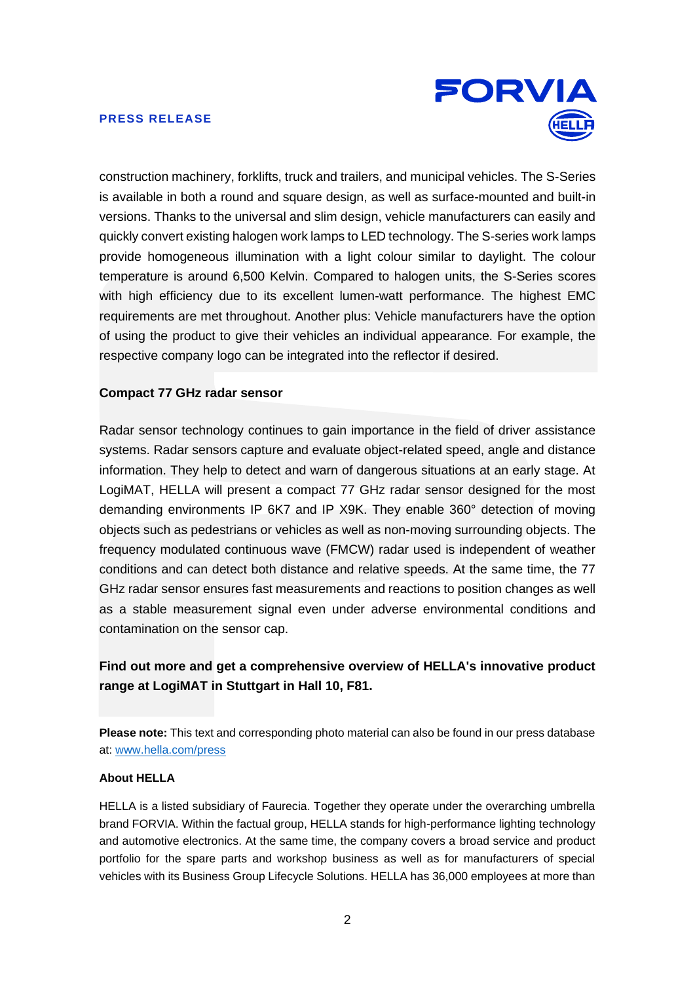### **PRESS RELEASE**



construction machinery, forklifts, truck and trailers, and municipal vehicles. The S-Series is available in both a round and square design, as well as surface-mounted and built-in versions. Thanks to the universal and slim design, vehicle manufacturers can easily and quickly convert existing halogen work lamps to LED technology. The S-series work lamps provide homogeneous illumination with a light colour similar to daylight. The colour temperature is around 6,500 Kelvin. Compared to halogen units, the S-Series scores with high efficiency due to its excellent lumen-watt performance. The highest EMC requirements are met throughout. Another plus: Vehicle manufacturers have the option of using the product to give their vehicles an individual appearance. For example, the respective company logo can be integrated into the reflector if desired.

## **Compact 77 GHz radar sensor**

Radar sensor technology continues to gain importance in the field of driver assistance systems. Radar sensors capture and evaluate object-related speed, angle and distance information. They help to detect and warn of dangerous situations at an early stage. At LogiMAT, HELLA will present a compact 77 GHz radar sensor designed for the most demanding environments IP 6K7 and IP X9K. They enable 360° detection of moving objects such as pedestrians or vehicles as well as non-moving surrounding objects. The frequency modulated continuous wave (FMCW) radar used is independent of weather conditions and can detect both distance and relative speeds. At the same time, the 77 GHz radar sensor ensures fast measurements and reactions to position changes as well as a stable measurement signal even under adverse environmental conditions and contamination on the sensor cap.

## **Find out more and get a comprehensive overview of HELLA's innovative product range at LogiMAT in Stuttgart in Hall 10, F81.**

**Please note:** This text and corresponding photo material can also be found in our press database at: [www.hella.com/press](http://www.hella.com/press) 

### **About HELLA**

HELLA is a listed subsidiary of Faurecia. Together they operate under the overarching umbrella brand FORVIA. Within the factual group, HELLA stands for high-performance lighting technology and automotive electronics. At the same time, the company covers a broad service and product portfolio for the spare parts and workshop business as well as for manufacturers of special vehicles with its Business Group Lifecycle Solutions. HELLA has 36,000 employees at more than